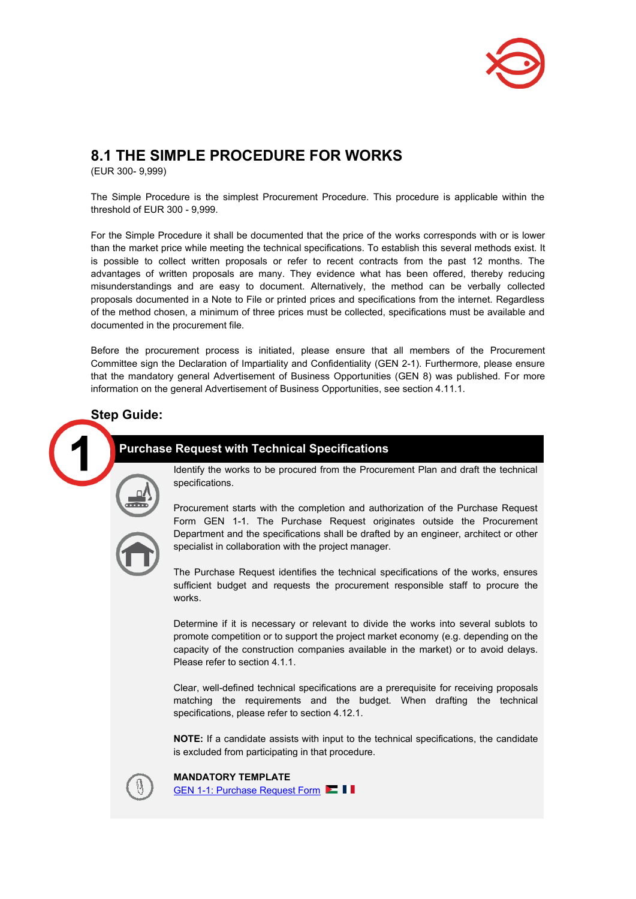

# **8.1 THE SIMPLE PROCEDURE FOR WORKS**

(EUR 300- 9,999)

The Simple Procedure is the simplest Procurement Procedure. This procedure is applicable within the threshold of EUR 300 - 9,999.

For the Simple Procedure it shall be documented that the price of the works corresponds with or is lower than the market price while meeting the technical specifications. To establish this several methods exist. It is possible to collect written proposals or refer to recent contracts from the past 12 months. The advantages of written proposals are many. They evidence what has been offered, thereby reducing misunderstandings and are easy to document. Alternatively, the method can be verbally collected proposals documented in a Note to File or printed prices and specifications from the internet. Regardless of the method chosen, a minimum of three prices must be collected, specifications must be available and documented in the procurement file.

Before the procurement process is initiated, please ensure that all members of the Procurement Committee sign the Declaration of Impartiality and Confidentiality (GEN 2-1). Furthermore, please ensure that the mandatory general Advertisement of Business Opportunities (GEN 8) was published. For more information on the general Advertisement of Business Opportunities, see section 4.11.1.

## **Step Guide:**

# **Purchase Request with Technical Specifications**

Identify the works to be procured from the Procurement Plan and draft the technical specifications.



Procurement starts with the completion and authorization of the Purchase Request Form GEN 1-1. The Purchase Request originates outside the Procurement Department and the specifications shall be drafted by an engineer, architect or other specialist in collaboration with the project manager.

The Purchase Request identifies the technical specifications of the works, ensures sufficient budget and requests the procurement responsible staff to procure the works.

Determine if it is necessary or relevant to divide the works into several sublots to promote competition or to support the project market economy (e.g. depending on the capacity of the construction companies available in the market) or to avoid delays. Please refer to section 4.1.1.

Clear, well-defined technical specifications are a prerequisite for receiving proposals matching the requirements and the budget. When drafting the technical specifications, please refer to section 4.12.1.

**NOTE:** If a candidate assists with input to the technical specifications, the candidate is excluded from participating in that procedure.

**MANDATORY TEMPLATE** [GEN 1-1: Purchase Request Form](https://www.noedhjaelp.dk/wp-content/uploads/sites/2/2022/02/gen-1-1--logman3.11-purchase-request-form-feb2022.xlsx)  $\blacksquare$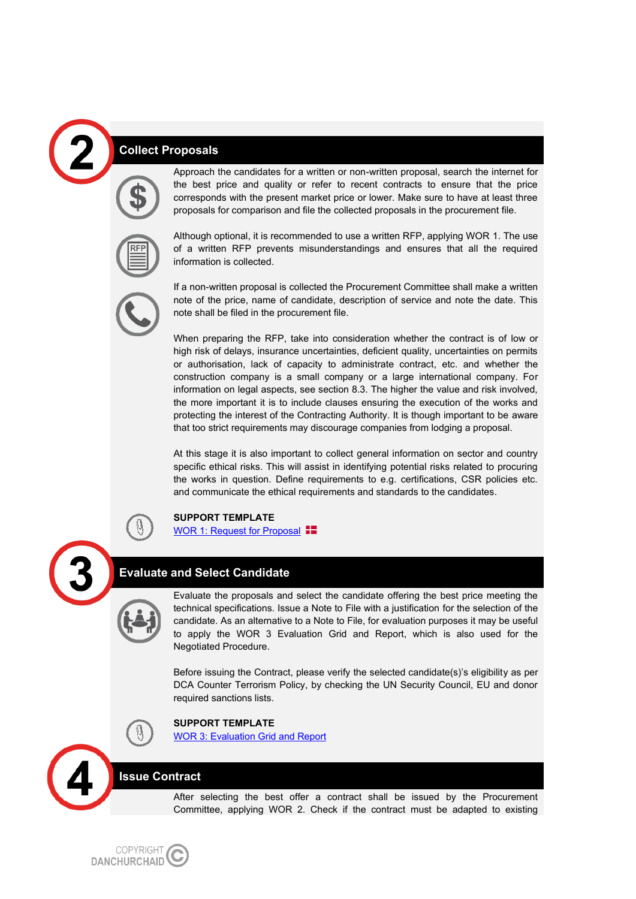## **Collect Proposals**



Approach the candidates for a written or non-written proposal, search the internet for the best price and quality or refer to recent contracts to ensure that the price corresponds with the present market price or lower. Make sure to have at least three proposals for comparison and file the collected proposals in the procurement file.



Although optional, it is recommended to use a written RFP, applying WOR 1. The use of a written RFP prevents misunderstandings and ensures that all the required information is collected.

If a non-written proposal is collected the Procurement Committee shall make a written note of the price, name of candidate, description of service and note the date. This note shall be filed in the procurement file.

When preparing the RFP, take into consideration whether the contract is of low or high risk of delays, insurance uncertainties, deficient quality, uncertainties on permits or authorisation, lack of capacity to administrate contract, etc. and whether the construction company is a small company or a large international company. For information on legal aspects, see section 8.3. The higher the value and risk involved, the more important it is to include clauses ensuring the execution of the works and protecting the interest of the Contracting Authority. It is though important to be aware that too strict requirements may discourage companies from lodging a proposal.

At this stage it is also important to collect general information on sector and country specific ethical risks. This will assist in identifying potential risks related to procuring the works in question. Define requirements to e.g. certifications, CSR policies etc. and communicate the ethical requirements and standards to the candidates.



#### **SUPPORT TEMPLATE**

[WOR 1: Request for Proposal](https://www.noedhjaelp.dk/wp-content/uploads/sites/2/2021/11/wor-1--request-for-proposal-jan2020.doc)  $\blacksquare$ 

### **Evaluate and Select Candidate**

Evaluate the proposals and select the candidate offering the best price meeting the technical specifications. Issue a Note to File with a justification for the selection of the candidate. As an alternative to a Note to File, for evaluation purposes it may be useful to apply the WOR 3 Evaluation Grid and Report, which is also used for the Negotiated Procedure.

Before issuing the Contract, please verify the selected candidate(s)'s eligibility as per DCA Counter Terrorism Policy, by checking the UN Security Council, EU and donor required sanctions lists.



**SUPPORT TEMPLATE** [WOR 3: Evaluation Grid and Report](https://www.noedhjaelp.dk/wp-content/uploads/sites/2/2021/11/wor-3-evaluation-grid-and-report-jan2020.doc)

#### **Issue Contract**

After selecting the best offer a contract shall be issued by the Procurement Committee, applying WOR 2. Check if the contract must be adapted to existing

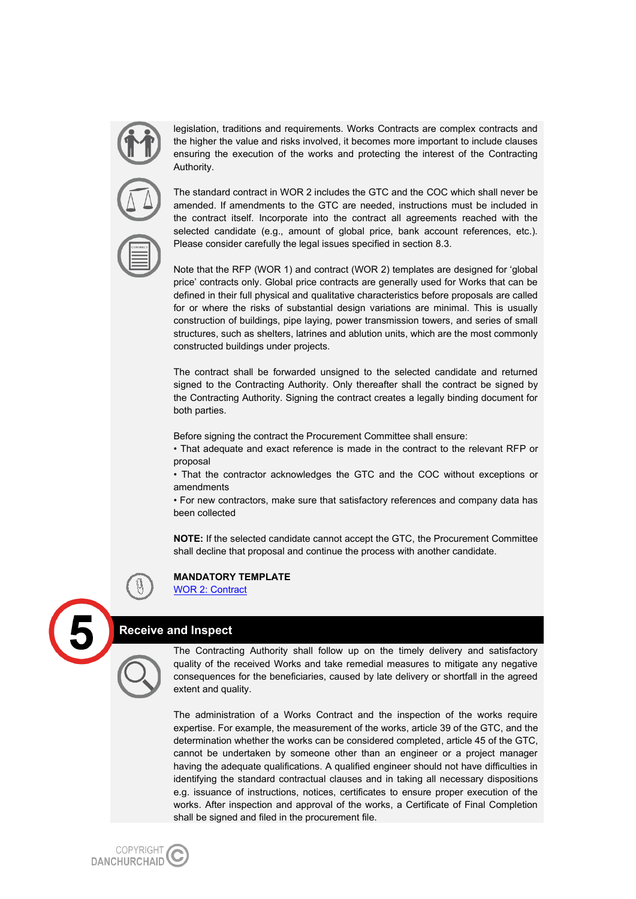legislation, traditions and requirements. Works Contracts are complex contracts and the higher the value and risks involved, it becomes more important to include clauses ensuring the execution of the works and protecting the interest of the Contracting Authority.

The standard contract in WOR 2 includes the GTC and the COC which shall never be amended. If amendments to the GTC are needed, instructions must be included in the contract itself. Incorporate into the contract all agreements reached with the selected candidate (e.g., amount of global price, bank account references, etc.). Please consider carefully the legal issues specified in section 8.3.

Note that the RFP (WOR 1) and contract (WOR 2) templates are designed for 'global price' contracts only. Global price contracts are generally used for Works that can be defined in their full physical and qualitative characteristics before proposals are called for or where the risks of substantial design variations are minimal. This is usually construction of buildings, pipe laying, power transmission towers, and series of small structures, such as shelters, latrines and ablution units, which are the most commonly constructed buildings under projects.

The contract shall be forwarded unsigned to the selected candidate and returned signed to the Contracting Authority. Only thereafter shall the contract be signed by the Contracting Authority. Signing the contract creates a legally binding document for both parties.

Before signing the contract the Procurement Committee shall ensure:

• That adequate and exact reference is made in the contract to the relevant RFP or proposal

• That the contractor acknowledges the GTC and the COC without exceptions or amendments

• For new contractors, make sure that satisfactory references and company data has been collected

**NOTE:** If the selected candidate cannot accept the GTC, the Procurement Committee shall decline that proposal and continue the process with another candidate.



### **MANDATORY TEMPLATE**

[WOR 2: Contract](https://www.noedhjaelp.dk/wp-content/uploads/sites/2/2021/11/wor-2-contract-jan2020.docx)

#### **Receive and Inspect**

The Contracting Authority shall follow up on the timely delivery and satisfactory quality of the received Works and take remedial measures to mitigate any negative consequences for the beneficiaries, caused by late delivery or shortfall in the agreed extent and quality.

The administration of a Works Contract and the inspection of the works require expertise. For example, the measurement of the works, article 39 of the GTC, and the determination whether the works can be considered completed, article 45 of the GTC, cannot be undertaken by someone other than an engineer or a project manager having the adequate qualifications. A qualified engineer should not have difficulties in identifying the standard contractual clauses and in taking all necessary dispositions e.g. issuance of instructions, notices, certificates to ensure proper execution of the works. After inspection and approval of the works, a Certificate of Final Completion shall be signed and filed in the procurement file.